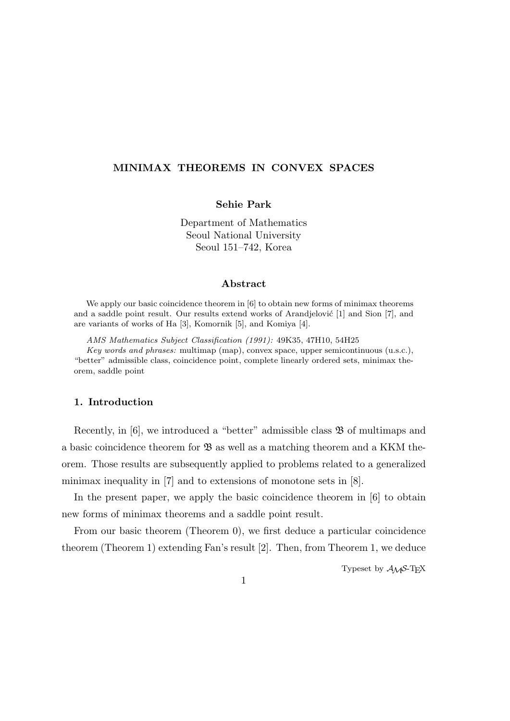# **MINIMAX THEOREMS IN CONVEX SPACES**

# **Sehie Park**

Department of Mathematics Seoul National University Seoul 151–742, Korea

#### **Abstract**

We apply our basic coincidence theorem in [6] to obtain new forms of minimax theorems and a saddle point result. Our results extend works of Arandjelović  $[1]$  and Sion  $[7]$ , and are variants of works of Ha [3], Komornik [5], and Komiya [4].

*AMS Mathematics Subject Classification (1991):* 49K35, 47H10, 54H25

*Key words and phrases:* multimap (map), convex space, upper semicontinuous (u.s.c.), "better" admissible class, coincidence point, complete linearly ordered sets, minimax theorem, saddle point

# **1. Introduction**

Recently, in  $[6]$ , we introduced a "better" admissible class  $\mathfrak{B}$  of multimaps and a basic coincidence theorem for  $\mathfrak{B}$  as well as a matching theorem and a KKM theorem. Those results are subsequently applied to problems related to a generalized minimax inequality in [7] and to extensions of monotone sets in [8].

In the present paper, we apply the basic coincidence theorem in [6] to obtain new forms of minimax theorems and a saddle point result.

From our basic theorem (Theorem 0), we first deduce a particular coincidence theorem (Theorem 1) extending Fan's result [2]. Then, from Theorem 1, we deduce

Typeset by  $A_{\mathcal{M}}S$ -T<sub>E</sub>X

1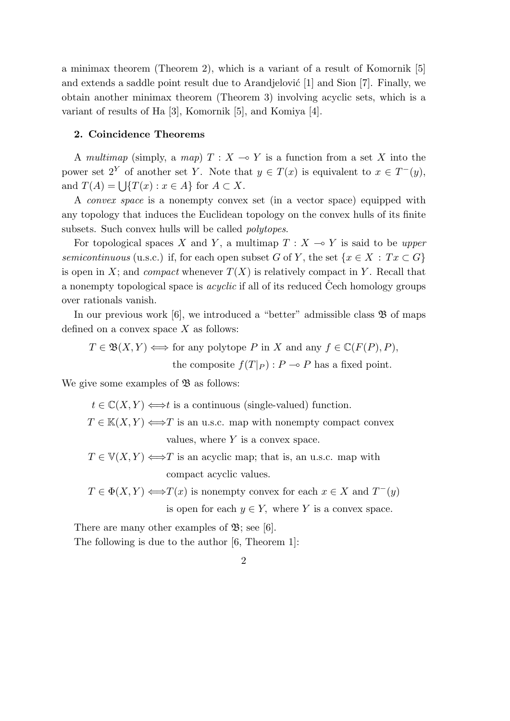a minimax theorem (Theorem 2), which is a variant of a result of Komornik [5] and extends a saddle point result due to Arandjelović  $[1]$  and Sion  $[7]$ . Finally, we obtain another minimax theorem (Theorem 3) involving acyclic sets, which is a variant of results of Ha [3], Komornik [5], and Komiya [4].

#### **2. Coincidence Theorems**

A *multimap* (simply, a *map*)  $T: X \to Y$  is a function from a set X into the power set  $2^Y$  of another set *Y*. Note that  $y \in T(x)$  is equivalent to  $x \in T^-(y)$ , and  $T(A) = \bigcup \{ T(x) : x \in A \}$  for  $A \subset X$ .

A *convex space* is a nonempty convex set (in a vector space) equipped with any topology that induces the Euclidean topology on the convex hulls of its finite subsets. Such convex hulls will be called *polytopes*.

For topological spaces *X* and *Y*, a multimap  $T : X \to Y$  is said to be *upper semicontinuous* (u.s.c.) if, for each open subset *G* of *Y*, the set  $\{x \in X : Tx \subset G\}$ is open in *X*; and *compact* whenever  $T(X)$  is relatively compact in *Y*. Recall that a nonempty topological space is *acyclic* if all of its reduced Cech homology groups over rationals vanish.

In our previous work  $[6]$ , we introduced a "better" admissible class  $\mathfrak{B}$  of maps defined on a convex space *X* as follows:

 $T \in \mathfrak{B}(X, Y) \Longleftrightarrow$  for any polytope *P* in *X* and any  $f \in \mathbb{C}(F(P), P)$ *,* the composite  $f(T|_P)$ :  $P \multimap P$  has a fixed point.

We give some examples of  $\mathfrak{B}$  as follows:

 $t \in \mathbb{C}(X, Y) \Longleftrightarrow t$  is a continuous (single-valued) function.  $T \in K(X, Y) \Longleftrightarrow T$  is an u.s.c. map with nonempty compact convex values, where *Y* is a convex space*.*

 $T \in V(X, Y) \Longleftrightarrow T$  is an acyclic map; that is, an u.s.c. map with compact acyclic values*.*

 $T \in \Phi(X, Y) \Longleftrightarrow T(x)$  is nonempty convex for each  $x \in X$  and  $T^-(y)$ 

is open for each  $y \in Y$ , where *Y* is a convex space.

There are many other examples of  $\mathfrak{B}$ ; see [6].

The following is due to the author [6, Theorem 1]: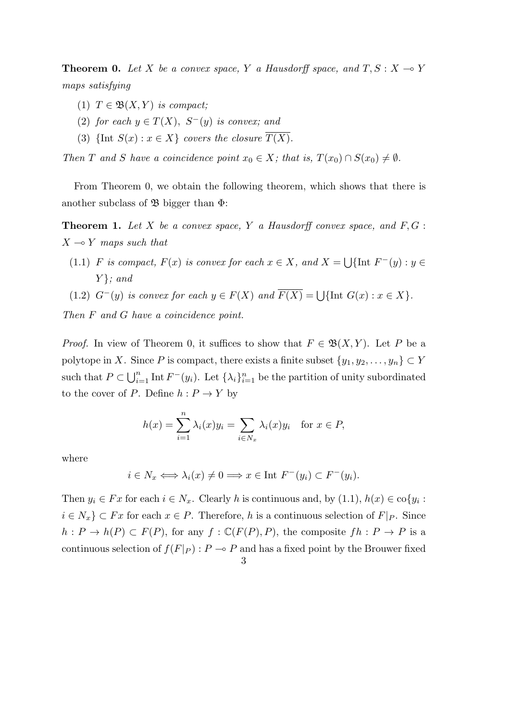**Theorem 0.** Let *X* be a convex space, *Y* a Hausdorff space, and  $T, S: X \rightarrow Y$ *maps satisfying*

- (1)  $T \in \mathfrak{B}(X, Y)$  *is compact*;
- (2) *for each*  $y \in T(X)$ *,*  $S^{-}(y)$  *is convex; and*
- (3)  $\{ \text{Int } S(x) : x \in X \}$  *covers the closure*  $\overline{T(X)}$ .

*Then T* and *S* have a coincidence point  $x_0 \in X$ ; that is,  $T(x_0) \cap S(x_0) \neq \emptyset$ .

From Theorem 0, we obtain the following theorem, which shows that there is another subclass of  $\mathfrak B$  bigger than  $\Phi$ :

**Theorem 1.** *Let X be a convex space, Y a Hausdorff convex space, and F, G* :  $X \rightarrow Y$  *maps such that* 

- (1.1) *F is compact,*  $F(x)$  *is convex for each*  $x \in X$ *, and*  $X = \bigcup \{ \text{Int } F^-(y) : y \in F^-(Y) \}$ *Y }; and*
- (1.2)  $G^{-}(y)$  *is convex for each*  $y \in F(X)$  *and*  $\overline{F(X)} = \bigcup \{ \text{Int } G(x) : x \in X \}.$

*Then F and G have a coincidence point.*

*Proof.* In view of Theorem 0, it suffices to show that  $F \in \mathfrak{B}(X, Y)$ . Let *P* be a polytope in *X*. Since *P* is compact, there exists a finite subset  $\{y_1, y_2, \ldots, y_n\} \subset Y$ such that  $P \subset \bigcup_{i=1}^n \text{Int } F^-(y_i)$ . Let  $\{\lambda_i\}_{i=1}^n$  be the partition of unity subordinated to the cover of *P*. Define  $h: P \to Y$  by

$$
h(x) = \sum_{i=1}^{n} \lambda_i(x) y_i = \sum_{i \in N_x} \lambda_i(x) y_i \quad \text{for } x \in P,
$$

where

$$
i \in N_x \Longleftrightarrow \lambda_i(x) \neq 0 \Longrightarrow x \in \text{Int } F^-(y_i) \subset F^-(y_i).
$$

Then  $y_i \in Fx$  for each  $i \in N_x$ . Clearly *h* is continuous and, by  $(1.1)$ ,  $h(x) \in \text{co}\lbrace y_i :$ *i* ∈  $N_x$  ⊂ *Fx* for each  $x \in P$ . Therefore, *h* is a continuous selection of *F* |*p*. Since  $h: P \to h(P) \subset F(P)$ , for any  $f: \mathbb{C}(F(P), P)$ , the composite  $fh: P \to P$  is a continuous selection of  $f(F|_P)$ :  $P \to P$  and has a fixed point by the Brouwer fixed

<sup>3</sup>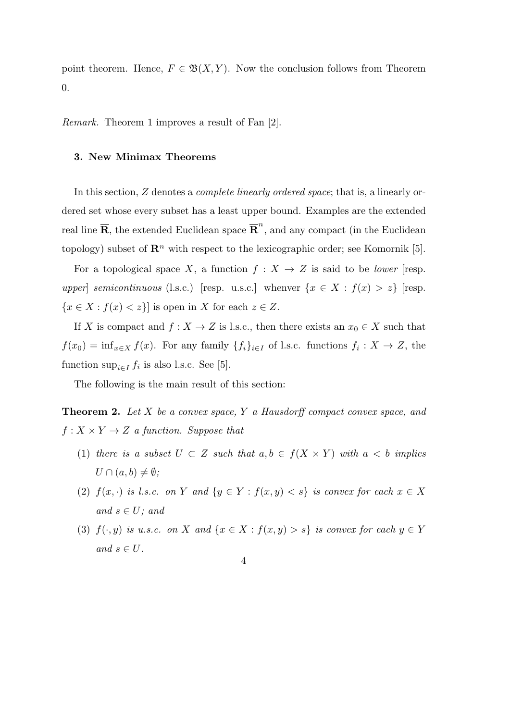point theorem. Hence,  $F \in \mathfrak{B}(X,Y)$ . Now the conclusion follows from Theorem 0.

*Remark.* Theorem 1 improves a result of Fan [2].

## **3. New Minimax Theorems**

In this section, *Z* denotes a *complete linearly ordered space*; that is, a linearly ordered set whose every subset has a least upper bound. Examples are the extended real line  $\overline{\mathbf{R}}$ , the extended Euclidean space  $\overline{\mathbf{R}}^n$ , and any compact (in the Euclidean topology) subset of  $\mathbb{R}^n$  with respect to the lexicographic order; see Komornik [5].

For a topological space *X*, a function  $f: X \to Z$  is said to be *lower* [resp. *upper semicontinuous* (l.s.c.) [resp. u.s.c.] whenver  $\{x \in X : f(x) > z\}$  [resp.  ${x \in X : f(x) < z}$  is open in *X* for each  $z \in Z$ .

If *X* is compact and  $f: X \to Z$  is l.s.c., then there exists an  $x_0 \in X$  such that  $f(x_0) = \inf_{x \in X} f(x)$ . For any family  $\{f_i\}_{i \in I}$  of l.s.c. functions  $f_i: X \to Z$ , the function  $\sup_{i \in I} f_i$  is also l.s.c. See [5].

The following is the main result of this section:

**Theorem 2.** *Let X be a convex space, Y a Hausdorff compact convex space, and*  $f: X \times Y \rightarrow Z$  *a function. Suppose that* 

- (1) *there is a subset*  $U \subset Z$  *such that*  $a, b \in f(X \times Y)$  *with*  $a < b$  *implies*  $U \cap (a, b) \neq \emptyset$ ;
- (2)  $f(x, \cdot)$  *is l.s.c. on Y and*  $\{y \in Y : f(x, y) < s\}$  *is convex for each*  $x \in X$  $and$   $s \in U$ *;* and
- (3)  $f(\cdot, y)$  *is u.s.c. on X* and  $\{x \in X : f(x, y) > s\}$  *is convex for each*  $y \in Y$  $and$   $s \in U$ *.* 
	- 4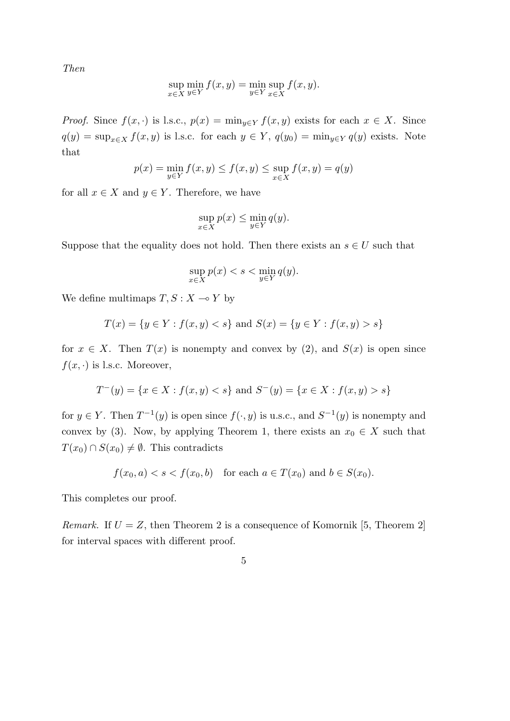*Then*

$$
\sup_{x \in X} \min_{y \in Y} f(x, y) = \min_{y \in Y} \sup_{x \in X} f(x, y).
$$

*Proof.* Since  $f(x, \cdot)$  is l.s.c.,  $p(x) = \min_{y \in Y} f(x, y)$  exists for each  $x \in X$ . Since  $q(y) = \sup_{x \in X} f(x, y)$  is l.s.c. for each  $y \in Y$ ,  $q(y_0) = \min_{y \in Y} q(y)$  exists. Note that

$$
p(x) = \min_{y \in Y} f(x, y) \le f(x, y) \le \sup_{x \in X} f(x, y) = q(y)
$$

for all  $x \in X$  and  $y \in Y$ . Therefore, we have

$$
\sup_{x \in X} p(x) \le \min_{y \in Y} q(y).
$$

Suppose that the equality does not hold. Then there exists an  $s \in U$  such that

$$
\sup_{x \in X} p(x) < s < \min_{y \in Y} q(y).
$$

We define multimaps  $T, S: X \rightarrow Y$  by

$$
T(x) = \{y \in Y : f(x, y) < s\} \text{ and } S(x) = \{y \in Y : f(x, y) > s\}
$$

for  $x \in X$ . Then  $T(x)$  is nonempty and convex by (2), and  $S(x)$  is open since  $f(x, \cdot)$  is l.s.c. Moreover,

$$
T^-(y) = \{ x \in X : f(x, y) < s \} \text{ and } S^-(y) = \{ x \in X : f(x, y) > s \}
$$

for  $y \in Y$ . Then  $T^{-1}(y)$  is open since  $f(\cdot, y)$  is u.s.c., and  $S^{-1}(y)$  is nonempty and convex by (3). Now, by applying Theorem 1, there exists an  $x_0 \in X$  such that *T*(*x*<sub>0</sub>) ∩ *S*(*x*<sub>0</sub>)  $\neq$  *Ø*. This contradicts

$$
f(x_0, a) < s < f(x_0, b) \quad \text{for each } a \in T(x_0) \text{ and } b \in S(x_0).
$$

This completes our proof.

*Remark.* If  $U = Z$ , then Theorem 2 is a consequence of Komornik [5, Theorem 2] for interval spaces with different proof.

$$
\overline{5}
$$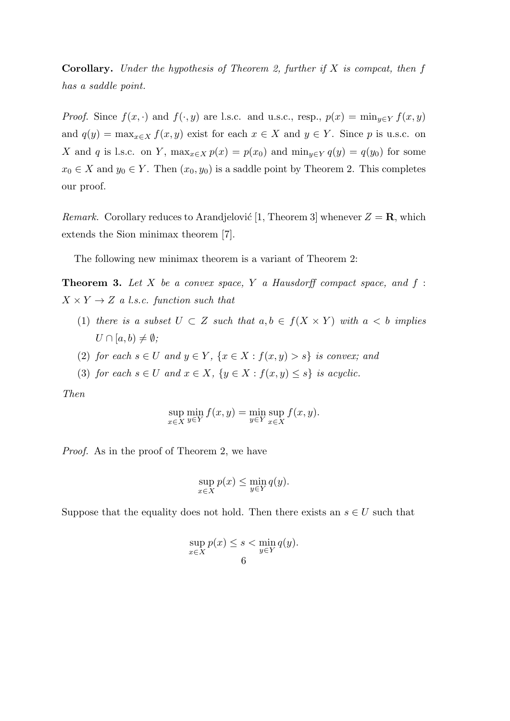**Corollary.** *Under the hypothesis of Theorem 2, further if X is compcat, then f has a saddle point.*

*Proof.* Since  $f(x, \cdot)$  and  $f(\cdot, y)$  are l.s.c. and u.s.c., resp.,  $p(x) = \min_{y \in Y} f(x, y)$ and  $q(y) = \max_{x \in X} f(x, y)$  exist for each  $x \in X$  and  $y \in Y$ . Since p is u.s.c. on *X* and *q* is l.s.c. on *Y*,  $\max_{x \in X} p(x) = p(x_0)$  and  $\min_{y \in Y} q(y) = q(y_0)$  for some  $x_0 \in X$  and  $y_0 \in Y$ . Then  $(x_0, y_0)$  is a saddle point by Theorem 2. This completes our proof.

*Remark.* Corollary reduces to Arandjelović [1, Theorem 3] whenever  $Z = \mathbf{R}$ , which extends the Sion minimax theorem [7].

The following new minimax theorem is a variant of Theorem 2:

**Theorem 3.** *Let X be a convex space, Y a Hausdorff compact space, and f* :  $X \times Y \rightarrow Z$  *a l.s.c. function such that* 

- (1) *there is a subset*  $U \subset Z$  *such that*  $a, b \in f(X \times Y)$  *with*  $a < b$  *implies*  $U \cap [a, b) \neq \emptyset$ ;
- (2) *for each*  $s \in U$  *and*  $y \in Y$ ,  $\{x \in X : f(x, y) > s\}$  *is convex; and*
- (3) *for each*  $s \in U$  *and*  $x \in X$ ,  $\{y \in X : f(x, y) \leq s\}$  *is acyclic.*

*Then*

$$
\sup_{x \in X} \min_{y \in Y} f(x, y) = \min_{y \in Y} \sup_{x \in X} f(x, y).
$$

*Proof.* As in the proof of Theorem 2, we have

$$
\sup_{x \in X} p(x) \le \min_{y \in Y} q(y).
$$

Suppose that the equality does not hold. Then there exists an  $s \in U$  such that

$$
\sup_{x \in X} p(x) \le s < \min_{y \in Y} q(y).
$$
6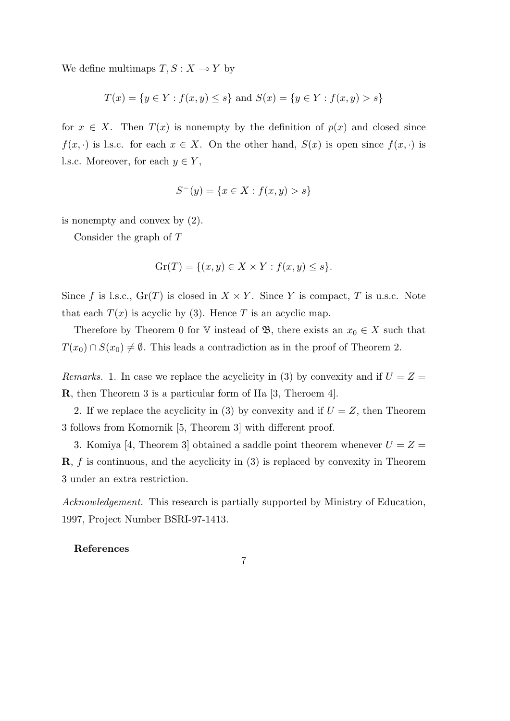We define multimaps  $T, S: X \rightarrow Y$  by

$$
T(x) = \{ y \in Y : f(x, y) \le s \} \text{ and } S(x) = \{ y \in Y : f(x, y) > s \}
$$

for  $x \in X$ . Then  $T(x)$  is nonempty by the definition of  $p(x)$  and closed since *f*(*x,*  $\cdot$ ) is l.s.c. for each  $x \in X$ . On the other hand,  $S(x)$  is open since  $f(x, \cdot)$  is l.s.c. Moreover, for each  $y \in Y$ ,

$$
S^-(y) = \{ x \in X : f(x, y) > s \}
$$

is nonempty and convex by (2).

Consider the graph of *T*

$$
\operatorname{Gr}(T) = \{(x, y) \in X \times Y : f(x, y) \le s\}.
$$

Since *f* is l.s.c.,  $\text{Gr}(T)$  is closed in  $X \times Y$ . Since *Y* is compact, *T* is u.s.c. Note that each  $T(x)$  is acyclic by (3). Hence *T* is an acyclic map.

Therefore by Theorem 0 for V instead of  $\mathfrak{B}$ , there exists an  $x_0 \in X$  such that *T*(*x*<sub>0</sub>) ∩ *S*(*x*<sub>0</sub>)  $\neq$   $\emptyset$ . This leads a contradiction as in the proof of Theorem 2.

*Remarks.* 1. In case we replace the acyclicity in (3) by convexity and if  $U = Z =$ **R**, then Theorem 3 is a particular form of Ha [3, Theroem 4].

2. If we replace the acyclicity in (3) by convexity and if  $U = Z$ , then Theorem 3 follows from Komornik [5, Theorem 3] with different proof.

3. Komiya [4, Theorem 3] obtained a saddle point theorem whenever  $U = Z =$ **R**, *f* is continuous, and the acyclicity in (3) is replaced by convexity in Theorem 3 under an extra restriction.

*Acknowledgement.* This research is partially supported by Ministry of Education, 1997, Project Number BSRI-97-1413.

7

### **References**